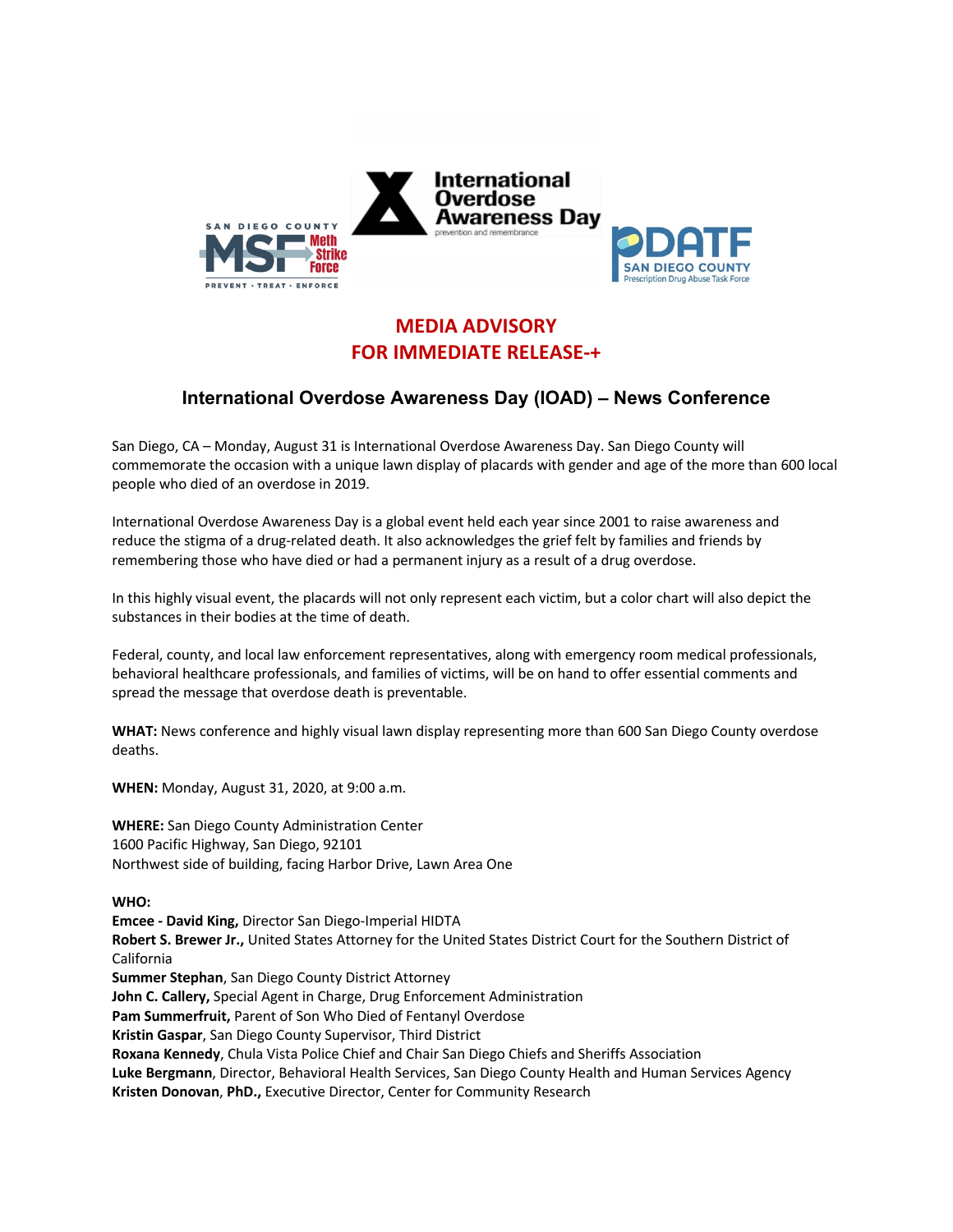

## **MEDIA ADVISORY FOR IMMEDIATE RELEASE-+**

## **International Overdose Awareness Day (IOAD) – News Conference**

San Diego, CA – Monday, August 31 is International Overdose Awareness Day. San Diego County will commemorate the occasion with a unique lawn display of placards with gender and age of the more than 600 local people who died of an overdose in 2019.

International Overdose Awareness Day is a global event held each year since 2001 to raise awareness and reduce the stigma of a drug-related death. It also acknowledges the grief felt by families and friends by remembering those who have died or had a permanent injury as a result of a drug overdose.

In this highly visual event, the placards will not only represent each victim, but a color chart will also depict the substances in their bodies at the time of death.

Federal, county, and local law enforcement representatives, along with emergency room medical professionals, behavioral healthcare professionals, and families of victims, will be on hand to offer essential comments and spread the message that overdose death is preventable.

**WHAT:** News conference and highly visual lawn display representing more than 600 San Diego County overdose deaths.

**WHEN:** Monday, August 31, 2020, at 9:00 a.m.

**WHERE:** San Diego County Administration Center 1600 Pacific Highway, San Diego, 92101 Northwest side of building, facing Harbor Drive, Lawn Area One

## **WHO:**

**Emcee - David King,** Director San Diego-Imperial HIDTA **Robert S. Brewer Jr.,** United States Attorney for the United States District Court for the Southern District of California **Summer Stephan**, San Diego County District Attorney **John C. Callery,** Special Agent in Charge, Drug Enforcement Administration **Pam Summerfruit,** Parent of Son Who Died of Fentanyl Overdose **Kristin Gaspar**, San Diego County Supervisor, Third District **Roxana Kennedy**, Chula Vista Police Chief and Chair San Diego Chiefs and Sheriffs Association **Luke Bergmann**, Director, Behavioral Health Services, San Diego County Health and Human Services Agency **Kristen Donovan**, **PhD.,** Executive Director, Center for Community Research